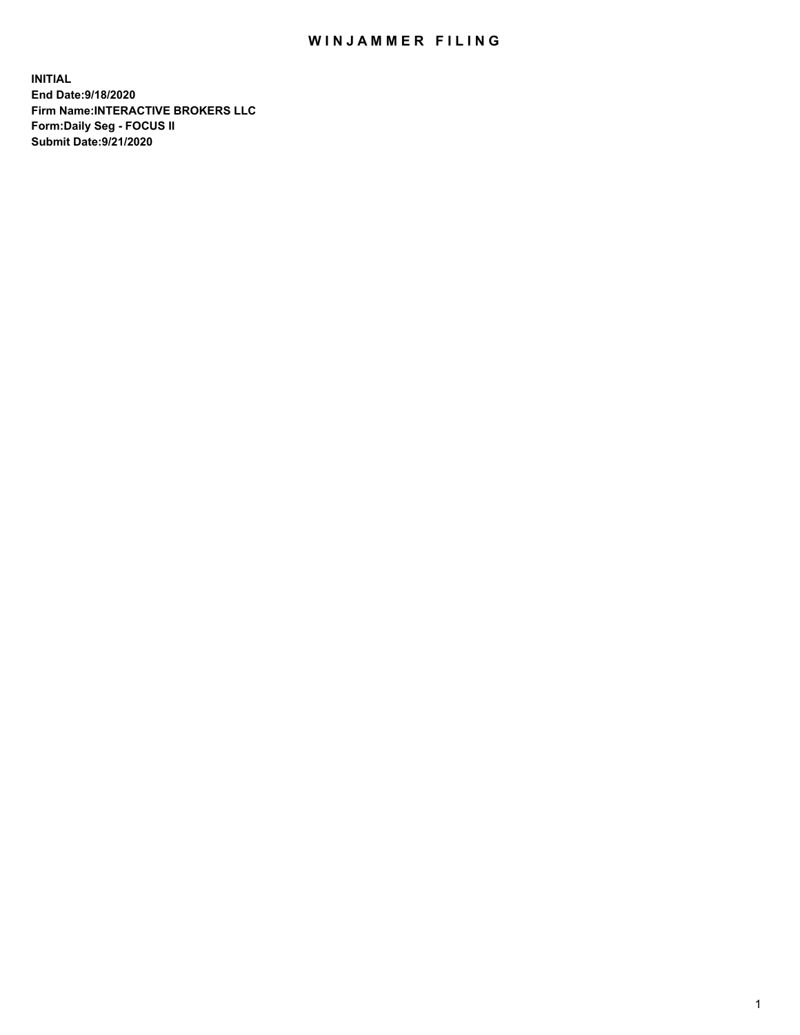## WIN JAMMER FILING

**INITIAL End Date:9/18/2020 Firm Name:INTERACTIVE BROKERS LLC Form:Daily Seg - FOCUS II Submit Date:9/21/2020**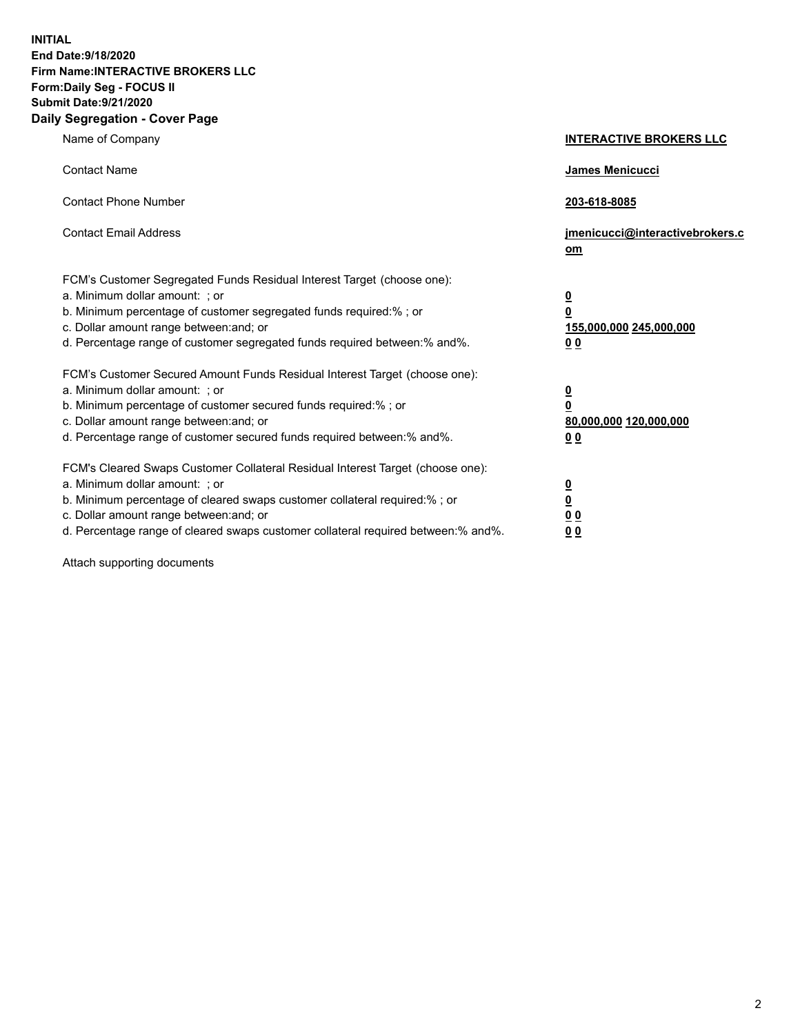**INITIAL End Date:9/18/2020 Firm Name:INTERACTIVE BROKERS LLC Form:Daily Seg - FOCUS II Submit Date:9/21/2020 Daily Segregation - Cover Page**

| Name of Company                                                                                                                                                                                                                                                                                                                | <b>INTERACTIVE BROKERS LLC</b>                                                   |
|--------------------------------------------------------------------------------------------------------------------------------------------------------------------------------------------------------------------------------------------------------------------------------------------------------------------------------|----------------------------------------------------------------------------------|
| <b>Contact Name</b>                                                                                                                                                                                                                                                                                                            | James Menicucci                                                                  |
| <b>Contact Phone Number</b>                                                                                                                                                                                                                                                                                                    | 203-618-8085                                                                     |
| <b>Contact Email Address</b>                                                                                                                                                                                                                                                                                                   | jmenicucci@interactivebrokers.c<br>om                                            |
| FCM's Customer Segregated Funds Residual Interest Target (choose one):<br>a. Minimum dollar amount: ; or<br>b. Minimum percentage of customer segregated funds required:% ; or<br>c. Dollar amount range between: and; or<br>d. Percentage range of customer segregated funds required between:% and%.                         | <u>0</u><br>$\overline{\mathbf{0}}$<br>155,000,000 245,000,000<br>0 <sub>0</sub> |
| FCM's Customer Secured Amount Funds Residual Interest Target (choose one):<br>a. Minimum dollar amount: ; or<br>b. Minimum percentage of customer secured funds required:% ; or<br>c. Dollar amount range between: and; or<br>d. Percentage range of customer secured funds required between:% and%.                           | <u>0</u><br>$\overline{\mathbf{0}}$<br>80,000,000 120,000,000<br>0 <sub>0</sub>  |
| FCM's Cleared Swaps Customer Collateral Residual Interest Target (choose one):<br>a. Minimum dollar amount: ; or<br>b. Minimum percentage of cleared swaps customer collateral required:% ; or<br>c. Dollar amount range between: and; or<br>d. Percentage range of cleared swaps customer collateral required between:% and%. | <u>0</u><br>$\underline{\mathbf{0}}$<br>0 <sub>0</sub><br>0 <sub>0</sub>         |

Attach supporting documents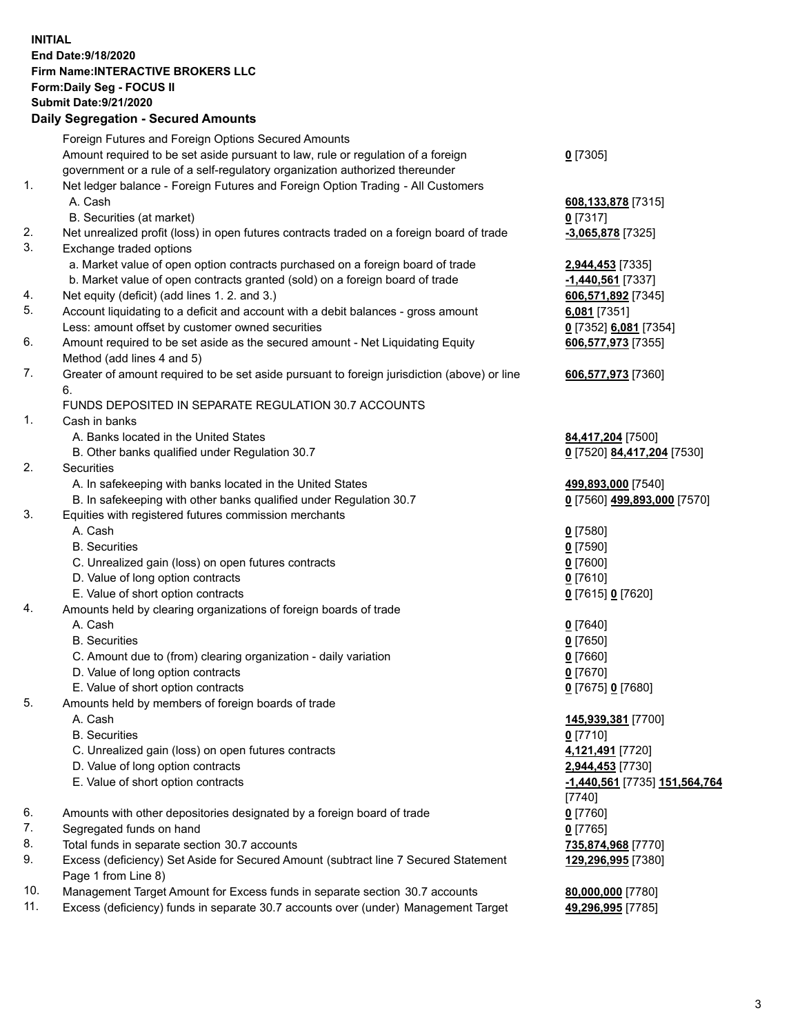**INITIAL End Date:9/18/2020 Firm Name:INTERACTIVE BROKERS LLC Form:Daily Seg - FOCUS II Submit Date:9/21/2020 Daily Segregation - Secured Amounts**

|     | Daily Segregation - Secured Amounts                                                         |                               |
|-----|---------------------------------------------------------------------------------------------|-------------------------------|
|     | Foreign Futures and Foreign Options Secured Amounts                                         |                               |
|     | Amount required to be set aside pursuant to law, rule or regulation of a foreign            | $0$ [7305]                    |
|     | government or a rule of a self-regulatory organization authorized thereunder                |                               |
| 1.  | Net ledger balance - Foreign Futures and Foreign Option Trading - All Customers             |                               |
|     | A. Cash                                                                                     | 608,133,878 [7315]            |
|     | B. Securities (at market)                                                                   | $0$ [7317]                    |
| 2.  | Net unrealized profit (loss) in open futures contracts traded on a foreign board of trade   | -3,065,878 [7325]             |
| 3.  | Exchange traded options                                                                     |                               |
|     | a. Market value of open option contracts purchased on a foreign board of trade              | 2,944,453 [7335]              |
|     | b. Market value of open contracts granted (sold) on a foreign board of trade                | $-1,440,561$ [7337]           |
| 4.  | Net equity (deficit) (add lines 1. 2. and 3.)                                               | 606,571,892 [7345]            |
| 5.  | Account liquidating to a deficit and account with a debit balances - gross amount           | 6,081 [7351]                  |
|     | Less: amount offset by customer owned securities                                            | 0 [7352] 6,081 [7354]         |
| 6.  | Amount required to be set aside as the secured amount - Net Liquidating Equity              | 606,577,973 [7355]            |
|     | Method (add lines 4 and 5)                                                                  |                               |
| 7.  | Greater of amount required to be set aside pursuant to foreign jurisdiction (above) or line | 606,577,973 [7360]            |
|     | 6.                                                                                          |                               |
|     | FUNDS DEPOSITED IN SEPARATE REGULATION 30.7 ACCOUNTS                                        |                               |
| 1.  | Cash in banks                                                                               |                               |
|     | A. Banks located in the United States                                                       | 84,417,204 [7500]             |
|     | B. Other banks qualified under Regulation 30.7                                              | 0 [7520] 84,417,204 [7530]    |
| 2.  | <b>Securities</b>                                                                           |                               |
|     | A. In safekeeping with banks located in the United States                                   | 499,893,000 [7540]            |
|     | B. In safekeeping with other banks qualified under Regulation 30.7                          | 0 [7560] 499,893,000 [7570]   |
| 3.  | Equities with registered futures commission merchants                                       |                               |
|     | A. Cash                                                                                     | $0$ [7580]                    |
|     | <b>B.</b> Securities                                                                        | $0$ [7590]                    |
|     | C. Unrealized gain (loss) on open futures contracts                                         | $0$ [7600]                    |
|     | D. Value of long option contracts                                                           | $0$ [7610]                    |
|     | E. Value of short option contracts                                                          | 0 [7615] 0 [7620]             |
| 4.  | Amounts held by clearing organizations of foreign boards of trade                           |                               |
|     | A. Cash                                                                                     | $0$ [7640]                    |
|     | <b>B.</b> Securities                                                                        | $0$ [7650]                    |
|     | C. Amount due to (from) clearing organization - daily variation                             | $0$ [7660]                    |
|     | D. Value of long option contracts                                                           | $0$ [7670]                    |
|     | E. Value of short option contracts                                                          | 0 [7675] 0 [7680]             |
| 5   | Amounts held by members of foreign boards of trade                                          |                               |
|     | A. Cash                                                                                     | 145,939,381 [7700]            |
|     | <b>B.</b> Securities                                                                        | $0$ [7710]                    |
|     | C. Unrealized gain (loss) on open futures contracts                                         | 4,121,491 [7720]              |
|     | D. Value of long option contracts                                                           | 2,944,453 [7730]              |
|     | E. Value of short option contracts                                                          | -1,440,561 [7735] 151,564,764 |
|     |                                                                                             | $[7740]$                      |
| 6.  | Amounts with other depositories designated by a foreign board of trade                      | $0$ [7760]                    |
| 7.  | Segregated funds on hand                                                                    | $0$ [7765]                    |
| 8.  | Total funds in separate section 30.7 accounts                                               | 735,874,968 [7770]            |
| 9.  | Excess (deficiency) Set Aside for Secured Amount (subtract line 7 Secured Statement         | 129,296,995 [7380]            |
|     | Page 1 from Line 8)                                                                         |                               |
| 10. | Management Target Amount for Excess funds in separate section 30.7 accounts                 | 80,000,000 [7780]             |
| 11. | Excess (deficiency) funds in separate 30.7 accounts over (under) Management Target          | 49,296,995 [7785]             |
|     |                                                                                             |                               |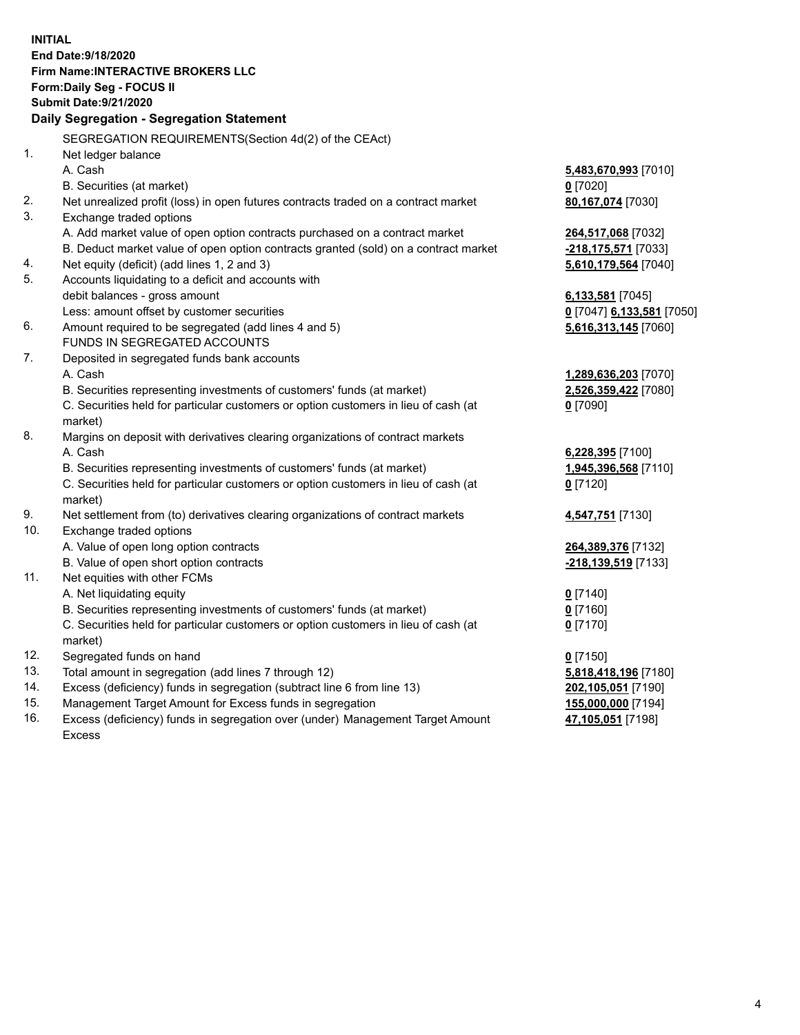**INITIAL End Date:9/18/2020 Firm Name:INTERACTIVE BROKERS LLC Form:Daily Seg - FOCUS II Submit Date:9/21/2020 Daily Segregation - Segregation Statement** SEGREGATION REQUIREMENTS(Section 4d(2) of the CEAct) 1. Net ledger balance A. Cash **5,483,670,993** [7010] B. Securities (at market) **0** [7020] 2. Net unrealized profit (loss) in open futures contracts traded on a contract market **80,167,074** [7030] 3. Exchange traded options A. Add market value of open option contracts purchased on a contract market **264,517,068** [7032] B. Deduct market value of open option contracts granted (sold) on a contract market **-218,175,571** [7033] 4. Net equity (deficit) (add lines 1, 2 and 3) **5,610,179,564** [7040] 5. Accounts liquidating to a deficit and accounts with debit balances - gross amount **6,133,581** [7045] Less: amount offset by customer securities **0** [7047] **6,133,581** [7050] 6. Amount required to be segregated (add lines 4 and 5) **5,616,313,145** [7060] FUNDS IN SEGREGATED ACCOUNTS 7. Deposited in segregated funds bank accounts A. Cash **1,289,636,203** [7070] B. Securities representing investments of customers' funds (at market) **2,526,359,422** [7080] C. Securities held for particular customers or option customers in lieu of cash (at market) **0** [7090] 8. Margins on deposit with derivatives clearing organizations of contract markets A. Cash **6,228,395** [7100] B. Securities representing investments of customers' funds (at market) **1,945,396,568** [7110] C. Securities held for particular customers or option customers in lieu of cash (at market) **0** [7120] 9. Net settlement from (to) derivatives clearing organizations of contract markets **4,547,751** [7130] 10. Exchange traded options A. Value of open long option contracts **264,389,376** [7132] B. Value of open short option contracts **-218,139,519** [7133] 11. Net equities with other FCMs A. Net liquidating equity **0** [7140] B. Securities representing investments of customers' funds (at market) **0** [7160] C. Securities held for particular customers or option customers in lieu of cash (at market) **0** [7170] 12. Segregated funds on hand **0** [7150] 13. Total amount in segregation (add lines 7 through 12) **5,818,418,196** [7180] 14. Excess (deficiency) funds in segregation (subtract line 6 from line 13) **202,105,051** [7190] 15. Management Target Amount for Excess funds in segregation **155,000,000** [7194] 16. Excess (deficiency) funds in segregation over (under) Management Target Amount **47,105,051** [7198]

Excess